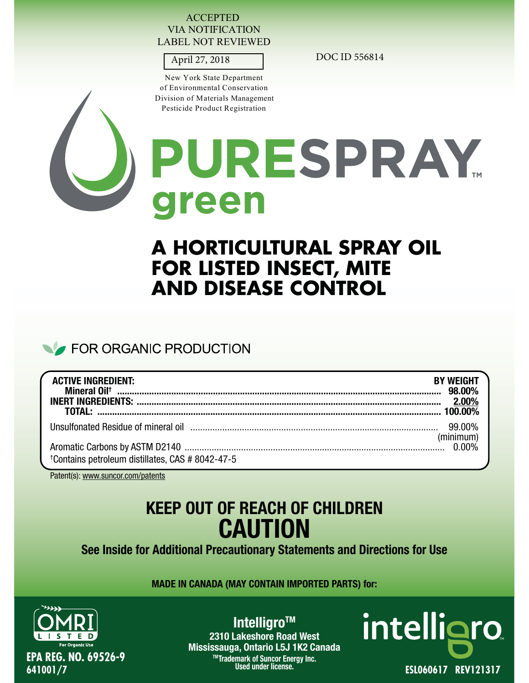#### ACCEPTED VIA NOTIFICATION LABEL NOT REVIEWED

New York State Department of Environmental Conservation Division of Materials Management Pesticide Product Registration

April 27, 2018 DOC ID 556814



# PURESPRAY. reen

# **A HORTICULTURAL SPRAY OIL FOR LISTED INSECT, MITE AND DISEASE CONTROL**

# FOR ORGANIC PRODUCTION

| <b>ACTIVE INGREDIENT:</b>                                                                                      | <b>BY WEIGHT</b> |
|----------------------------------------------------------------------------------------------------------------|------------------|
| Unsulfonated Residue of mineral oil measure and the control of the control of the settlem of the control of th |                  |
| <sup>+</sup> Contains petroleum distillates, CAS # 8042-47-5                                                   | (minimum)        |

Patent(s): www.suncor.com/patents

# **KEEP OUT OF REACH OF CHILDREN CAUTION**

**See Inside for Additional Precautionary Statements and Directions for Use**

**MADE IN CANADA (MAY CONTAIN IMPORTED PARTS) for:**



**Intelligro™** 

**2310 Lakeshore Road West Mississauga, Ontario L5J 1K2 Canada TMTrademark of Suncor Energy Inc.**

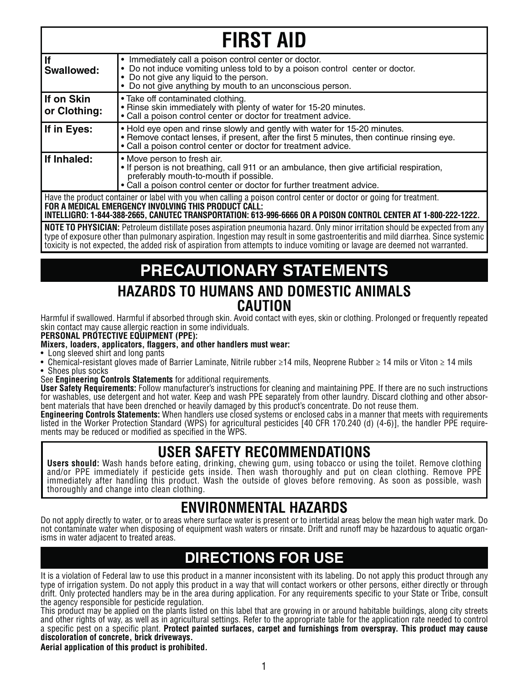| <b>FIRST AID</b>                                                                                                                                                                                                                                                                              |                                                                                                                                                                                                                                                |  |  |
|-----------------------------------------------------------------------------------------------------------------------------------------------------------------------------------------------------------------------------------------------------------------------------------------------|------------------------------------------------------------------------------------------------------------------------------------------------------------------------------------------------------------------------------------------------|--|--|
| lf<br><b>Swallowed:</b>                                                                                                                                                                                                                                                                       | • Immediately call a poison control center or doctor.<br>• Do not induce vomiting unless told to by a poison control center or doctor.<br>• Do not give any liquid to the person.<br>• Do not give anything by mouth to an unconscious person. |  |  |
| If on Skin<br>or Clothing:                                                                                                                                                                                                                                                                    | • Take off contaminated clothing.<br>• Rinse skin immediately with plenty of water for 15-20 minutes.<br>• Call a poison control center or doctor for treatment advice.                                                                        |  |  |
| If in Eyes:                                                                                                                                                                                                                                                                                   | . Hold eye open and rinse slowly and gently with water for 15-20 minutes.<br>• Remove contact lenses, if present, after the first 5 minutes, then continue rinsing eye.<br>• Call a poison control center or doctor for treatment advice.      |  |  |
| If Inhaled:<br>• Move person to fresh air.<br>. If person is not breathing, call 911 or an ambulance, then give artificial respiration,<br>preferably mouth-to-mouth if possible.<br>• Call a poison control center or doctor for further treatment advice.                                   |                                                                                                                                                                                                                                                |  |  |
| Have the product container or label with you when calling a poison control center or doctor or going for treatment.<br>FOR A MEDICAL EMERGENCY INVOLVING THIS PRODUCT CALL:<br>INTELLIGRO: 1-844-388-2665, CANUTEC TRANSPORTATION: 613-996-6666 OR A POISON CONTROL CENTER AT 1-800-222-1222. |                                                                                                                                                                                                                                                |  |  |

**NOTE TO PHYSICIAN:** Petroleum distillate poses aspiration pneumonia hazard. Only minor irritation should be expected from any type of exposure other than pulmonary aspiration. Ingestion may result in some gastroenteritis and mild diarrhea. Since systemic toxicity is not expected, the added risk of aspiration from attempts to induce vomiting or lavage are deemed not warranted.

# **PRECAUTIONARY STATEMENTS**

### **HAZARDS TO HUMANS AND DOMESTIC ANIMALS CAUTION**

Harmful if swallowed. Harmful if absorbed through skin. Avoid contact with eyes, skin or clothing. Prolonged or frequently repeated skin contact may cause allergic reaction in some individuals.

#### **PERSONAL PROTECTIVE EQUIPMENT (PPE):**

#### **Mixers, loaders, applicators, flaggers, and other handlers must wear:**

- Long sleeved shirt and long pants
- Chemical-resistant gloves made of Barrier Laminate, Nitrile rubber ≥14 mils, Neoprene Rubber ≥ 14 mils or Viton ≥ 14 mils • Shoes plus socks
- See **Engineering Controls Statements** for additional requirements.

**User Safety Requirements:** Follow manufacturer's instructions for cleaning and maintaining PPE. If there are no such instructions for washables, use detergent and hot water. Keep and wash PPE separately from other laundry. Discard clothing and other absorbent materials that have been drenched or heavily damaged by this product's concentrate. Do not reuse them.

**Engineering Controls Statements:** When handlers use closed systems or enclosed cabs in a manner that meets with requirements listed in the Worker Protection Standard (WPS) for agricultural pesticides [40 CFR 170.240 (d) (4-6)], the handler PPE requirements may be reduced or modified as specified in the WPS.

## **USER SAFETY RECOMMENDATIONS**

**Users should:** Wash hands before eating, drinking, chewing gum, using tobacco or using the toilet. Remove clothing and/or PPE immediately if pesticide gets inside. Then wash thoroughly and put on clean clothing. Remove PPE immediately after handling this product. Wash the outside of gloves before removing. As soon as possible, wash thoroughly and change into clean clothing.

## **ENVIRONMENTAL HAZARDS**

Do not apply directly to water, or to areas where surface water is present or to intertidal areas below the mean high water mark. Do not contaminate water when disposing of equipment wash waters or rinsate. Drift and runoff may be hazardous to aquatic organisms in water adjacent to treated areas.

# **DIRECTIONS FOR USE**

It is a violation of Federal law to use this product in a manner inconsistent with its labeling. Do not apply this product through any type of irrigation system. Do not apply this product in a way that will contact workers or other persons, either directly or through drift. Only protected handlers may be in the area during application. For any requirements specific to your State or Tribe, consult the agency responsible for pesticide regulation.

This product may be applied on the plants listed on this label that are growing in or around habitable buildings, along city streets and other rights of way, as well as in agricultural settings. Refer to the appropriate table for the application rate needed to control a specific pest on a specific plant. **Protect painted surfaces, carpet and furnishings from overspray. This product may cause discoloration of concrete, brick driveways.**

#### **Aerial application of this product is prohibited.**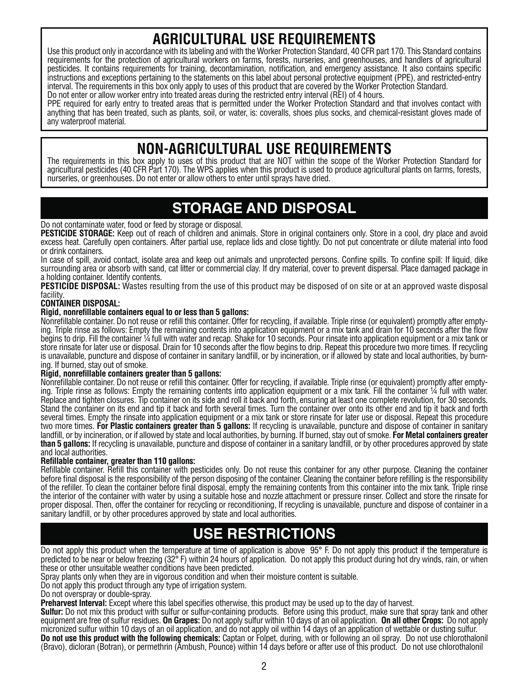# **AGRICULTURAL USE REQUIREMENTS**

Use this product only in accordance with its labeling and with the Worker Protection Standard, 40 CFR part 170. This Standard contains requirements for the protection of agricultural workers on farms, forests, nurseries, and greenhouses, and handlers of agricultural pesticides. It contains requirements for training, decontamination, notification, and emergency assistance. It also contains specific instructions and exceptions pertaining to the statements on this label about personal protective equipment (PPE), and restricted-entry interval. The requirements in this box only apply to uses of this product that are covered by the Worker Protection Standard. Do not enter or allow worker entry into treated areas during the restricted entry interval (REI) of 4 hours.

PPE required for early entry to treated areas that is permitted under the Worker Protection Standard and that involves contact with anything that has been treated, such as plants, soil, or water, is: coveralls, shoes plus socks, and chemical-resistant gloves made of any waterproof material.

# **NON-AGRICULTURAL USE REQUIREMENTS**

The requirements in this box apply to uses of this product that are NOT within the scope of the Worker Protection Standard for agricultural pesticides (40 CFR Part 170). The WPS applies when this product is used to produce agricultural plants on farms, forests, nurseries, or greenhouses. Do not enter or allow others to enter until sprays have dried.

# **STORAGE AND DISPOSAL**

#### Do not contaminate water, food or feed by storage or disposal.

**PESTICIDE STORAGE:** Keep out of reach of children and animals. Store in original containers only. Store in a cool, dry place and avoid excess heat. Carefully open containers. After partial use, replace lids and close tightly. Do not put concentrate or dilute material into food or drink containers.

In case of spill, avoid contact, isolate area and keep out animals and unprotected persons. Confine spills. To confine spill: If liquid, dike surrounding area or absorb with sand, cat litter or commercial clay. If dry material, cover to prevent dispersal. Place damaged package in a holding container. Identify contents.

**PESTICIDE DISPOSAL:** Wastes resulting from the use of this product may be disposed of on site or at an approved waste disposal facility.

#### **CONTAINER DISPOSAL:**

#### **Rigid, nonrefillable containers equal to or less than 5 gallons:**

Nonrefillable container. Do not reuse or refill this container. Offer for recycling, if available. Triple rinse (or equivalent) promptly after emptying. Triple rinse as follows: Empty the remaining contents into application equipment or a mix tank and drain for 10 seconds after the flow begins to drip. Fill the container ¼ full with water and recap. Shake for 10 seconds. Pour rinsate into application equipment or a mix tank or store rinsate for later use or disposal. Drain for 10 seconds after the flow begins to drip. Repeat this procedure two more times. If recycling is unavailable, puncture and dispose of container in sanitary landfill, or by incineration, or if allowed by state and local authorities, by burning. If burned, stay out of smoke.

#### **Rigid, nonrefillable containers greater than 5 gallons:**

Nonrefillable container. Do not reuse or refill this container. Offer for recycling, if available. Triple rinse (or equivalent) promptly after emptying. Triple rinse as follows: Empty the remaining contents into application equipment or a mix tank. Fill the container ¼ full with water. Replace and tighten closures. Tip container on its side and roll it back and forth, ensuring at least one complete revolution, for 30 seconds. Stand the container on its end and tip it back and forth several times. Turn the container over onto its other end and tip it back and forth several times. Empty the rinsate into application equipment or a mix tank or store rinsate for later use or disposal. Repeat this procedure two more times. **For Plastic containers greater than 5 gallons:** If recycling is unavailable, puncture and dispose of container in sanitary landfill, or by incineration, or if allowed by state and local authorities, by burning. If burned, stay out of smoke. **For Metal containers greater than 5 gallons:** If recycling is unavailable, puncture and dispose of container in a sanitary landfill, or by other procedures approved by state and local authorities.

#### **Refillable container, greater than 110 gallons:**

Refillable container. Refill this container with pesticides only. Do not reuse this container for any other purpose. Cleaning the container before final disposal is the responsibility of the person disposing of the container. Cleaning the container before refilling is the responsibility of the refiller. To clean the container before final disposal, empty the remaining contents from this container into the mix tank. Triple rinse the interior of the container with water by using a suitable hose and nozzle attachment or pressure rinser. Collect and store the rinsate for proper disposal. Then, offer the container for recycling or reconditioning, If recycling is unavailable, puncture and dispose of container in a sanitary landfill, or by other procedures approved by state and local authorities.

# **USE RESTRICTIONS**

Do not apply this product when the temperature at time of application is above 95° F. Do not apply this product if the temperature is predicted to be near or below freezing (32°F) within 24 hours of application. Do not apply this product during hot dry winds, rain, or when these or other unsuitable weather conditions have been predicted.

Spray plants only when they are in vigorous condition and when their moisture content is suitable.

Do not apply this product through any type of irrigation system.

Do not overspray or double-spray.

**Preharvest Interval:** Except where this label specifies otherwise, this product may be used up to the day of harvest.

**Sulfur:** Do not mix this product with sulfur or sulfur-containing products. Before using this product, make sure that spray tank and other equipment are free of sulfur residues. **On Grapes:** Do not apply sulfur within 10 days of an oil application. **On all other Crops:** Do not apply micronized sulfur within 10 days of an oil application, and do not apply oil within 14 days of an application of wettable or dusting sulfur. **Do not use this product with the following chemicals:** Captan or Folpet, during, with or following an oil spray. Do not use chlorothalonil (Bravo), dicloran (Botran), or permethrin (Ambush, Pounce) within 14 days before or after use of this product. Do not use chlorothalonil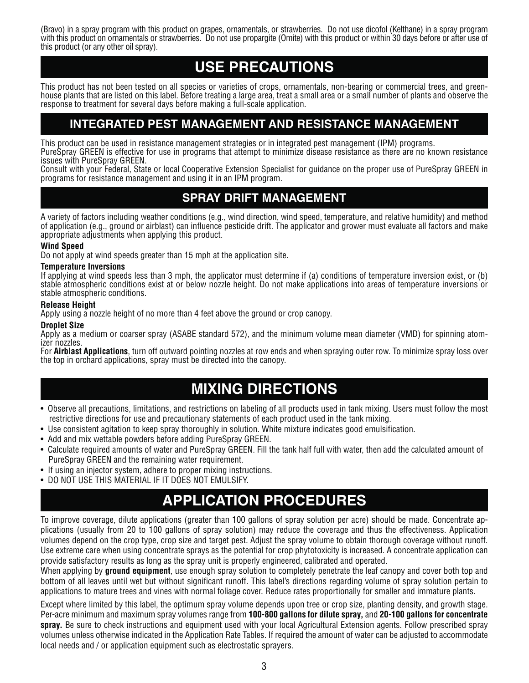(Bravo) in a spray program with this product on grapes, ornamentals, or strawberries. Do not use dicofol (Kelthane) in a spray program with this product on ornamentals or strawberries. Do not use propargite (Omite) with this product or within 30 days before or after use of this product (or any other oil spray).

# **USE PRECAUTIONS**

This product has not been tested on all species or varieties of crops, ornamentals, non-bearing or commercial trees, and greenhouse plants that are listed on this label. Before treating a large area, treat a small area or a small number of plants and observe the response to treatment for several days before making a full-scale application.

### **INTEGRATED PEST MANAGEMENT AND RESISTANCE MANAGEMENT**

This product can be used in resistance management strategies or in integrated pest management (IPM) programs.

PureSpray GREEN is effective for use in programs that attempt to minimize disease resistance as there are no known resistance issues with PureSpray GREEN.

Consult with your Federal, State or local Cooperative Extension Specialist for guidance on the proper use of PureSpray GREEN in programs for resistance management and using it in an IPM program.

### **SPRAY DRIFT MANAGEMENT**

A variety of factors including weather conditions (e.g., wind direction, wind speed, temperature, and relative humidity) and method of application (e.g., ground or airblast) can influence pesticide drift. The applicator and grower must evaluate all factors and make appropriate adjustments when applying this product.

#### **Wind Speed**

Do not apply at wind speeds greater than 15 mph at the application site.

#### **Temperature Inversions**

If applying at wind speeds less than 3 mph, the applicator must determine if (a) conditions of temperature inversion exist, or (b) stable atmospheric conditions exist at or below nozzle height. Do not make applications into areas of temperature inversions or stable atmospheric conditions.

#### **Release Height**

Apply using a nozzle height of no more than 4 feet above the ground or crop canopy.

#### **Droplet Size**

Apply as a medium or coarser spray (ASABE standard 572), and the minimum volume mean diameter (VMD) for spinning atomizer nozzles.

For **Airblast Applications**, turn off outward pointing nozzles at row ends and when spraying outer row. To minimize spray loss over the top in orchard applications, spray must be directed into the canopy.

# **MIXING DIRECTIONS**

- Observe all precautions, limitations, and restrictions on labeling of all products used in tank mixing. Users must follow the most restrictive directions for use and precautionary statements of each product used in the tank mixing.
- Use consistent agitation to keep spray thoroughly in solution. White mixture indicates good emulsification.
- Add and mix wettable powders before adding PureSpray GREEN.
- Calculate required amounts of water and PureSpray GREEN. Fill the tank half full with water, then add the calculated amount of PureSpray GREEN and the remaining water requirement.
- If using an injector system, adhere to proper mixing instructions.
- DO NOT USE THIS MATERIAL IF IT DOES NOT EMULSIFY.

# **APPLICATION PROCEDURES**

To improve coverage, dilute applications (greater than 100 gallons of spray solution per acre) should be made. Concentrate applications (usually from 20 to 100 gallons of spray solution) may reduce the coverage and thus the effectiveness. Application volumes depend on the crop type, crop size and target pest. Adjust the spray volume to obtain thorough coverage without runoff. Use extreme care when using concentrate sprays as the potential for crop phytotoxicity is increased. A concentrate application can provide satisfactory results as long as the spray unit is properly engineered, calibrated and operated.

When applying by **ground equipment**, use enough spray solution to completely penetrate the leaf canopy and cover both top and bottom of all leaves until wet but without significant runoff. This label's directions regarding volume of spray solution pertain to applications to mature trees and vines with normal foliage cover. Reduce rates proportionally for smaller and immature plants.

Except where limited by this label, the optimum spray volume depends upon tree or crop size, planting density, and growth stage. Per-acre minimum and maximum spray volumes range from **100-800 gallons for dilute spray,** and **20-100 gallons for concentrate spray.** Be sure to check instructions and equipment used with your local Agricultural Extension agents. Follow prescribed spray volumes unless otherwise indicated in the Application Rate Tables. If required the amount of water can be adjusted to accommodate local needs and / or application equipment such as electrostatic sprayers.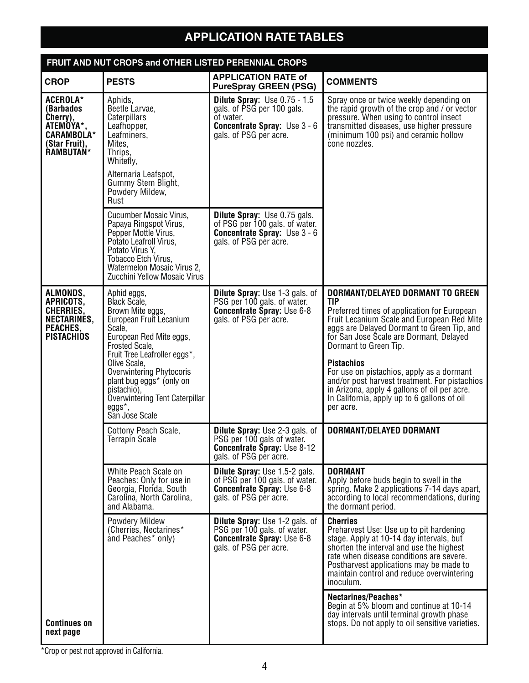# **APPLICATION RATE TABLES**

| FRUIT AND NUT CROPS and OTHER LISTED PERENNIAL CROPS                                                            |                                                                                                                                                                                                                                                                                                                               |                                                                                                                                                   |                                                                                                                                                                                                                                                                                                                                                                                                                                                                                              |
|-----------------------------------------------------------------------------------------------------------------|-------------------------------------------------------------------------------------------------------------------------------------------------------------------------------------------------------------------------------------------------------------------------------------------------------------------------------|---------------------------------------------------------------------------------------------------------------------------------------------------|----------------------------------------------------------------------------------------------------------------------------------------------------------------------------------------------------------------------------------------------------------------------------------------------------------------------------------------------------------------------------------------------------------------------------------------------------------------------------------------------|
| <b>CROP</b>                                                                                                     | <b>PESTS</b>                                                                                                                                                                                                                                                                                                                  | <b>APPLICATION RATE of</b><br><b>PureSpray GREEN (PSG)</b>                                                                                        | <b>COMMENTS</b>                                                                                                                                                                                                                                                                                                                                                                                                                                                                              |
| <b>ACEROLA*</b><br>(Barbados<br>Cherry),<br>ATEMOYA*,<br><b>CARAMBOLA*</b><br>(Star Fruit),<br><b>RAMBUTAN*</b> | Aphids,<br>Beetle Larvae,<br>Caterpillars<br>Leafhopper,<br>Leafminers,<br>Mites.<br>Thrips,<br>Whitefly,<br>Alternaria Leafspot,<br>Gummy Stem Blight,<br>Powdery Mildew,<br>Rust                                                                                                                                            | <b>Dilute Spray:</b> Use $0.75 - 1.5$<br>gals. of PSG per 100 gals.<br>of water.<br><b>Concentrate Spray:</b> Use 3 - 6<br>gals. of PSG per acre. | Spray once or twice weekly depending on<br>the rapid growth of the crop and / or vector<br>pressure. When using to control insect<br>transmitted diseases, use higher pressure<br>(minimum 100 psi) and ceramic hollow<br>cone nozzles.                                                                                                                                                                                                                                                      |
|                                                                                                                 | <b>Cucumber Mosaic Virus,</b><br>Papaya Ringspot Virus,<br>Pepper Mottle Virus,<br>Potato Leafroll Virus.<br>Potato Virus Y.<br>Tobacco Etch Virus,<br>Watermelon Mosaic Virus 2,<br>Zucchini Yellow Mosaic Virus                                                                                                             | <b>Dilute Spray: Use 0.75 gals.</b><br>of PSG per 100 gals. of water.<br><b>Concentrate Spray:</b> Use 3 - 6<br>gals. of PSG per acre.            |                                                                                                                                                                                                                                                                                                                                                                                                                                                                                              |
| ALMONDS,<br>APRICOTS,<br>CHERRIES,<br>NECTARINES,<br>PEACHES.<br><b>PISTACHIOS</b>                              | Aphid eggs,<br>Black Scale,<br>Brown Mite eggs,<br>European Fruit Lecanium<br>Scale,<br>European Red Mite eggs,<br>Frosted Scale,<br>Fruit Tree Leafroller eggs*,<br>Olive Scale,<br><b>Overwintering Phytocoris</b><br>plant bug eggs* (only on<br>pistachio),<br>Overwintering Tent Caterpillar<br>eggs*,<br>San Jose Scale | <b>Dilute Spray: Use 1-3 gals. of</b><br>PSG per 100 gals. of water.<br><b>Concentrate Spray: Use 6-8</b><br>gals. of PSG per acre.               | DORMANT/DELAYED DORMANT TO GREEN<br><b>TIP</b><br>Preferred times of application for European<br>Fruit Lecanium Scale and European Red Mite<br>eggs are Delayed Dormant to Green Tip, and<br>for San Jose Scale are Dormant, Delayed<br>Dormant to Green Tip.<br><b>Pistachios</b><br>For use on pistachios, apply as a dormant<br>and/or post harvest treatment. For pistachios<br>in Arizona, apply 4 gallons of oil per acre.<br>In California, apply up to 6 gallons of oil<br>per acre. |
|                                                                                                                 | Cottony Peach Scale,<br>Terrapin Scale                                                                                                                                                                                                                                                                                        | <b>Dilute Spray:</b> Use 2-3 gals. of<br>PSG per 100 gals of water.<br><b>Concentrate Spray: Use 8-12</b><br>gals. of PSG per acre.               | DORMANT/DELAYED DORMANT                                                                                                                                                                                                                                                                                                                                                                                                                                                                      |
|                                                                                                                 | White Peach Scale on<br>Peaches: Only for use in<br>Georgia, Florida, South<br>Carolina, North Carolina,<br>and Alabama.                                                                                                                                                                                                      | <b>Dilute Spray: Use 1.5-2 gals.</b><br>of PSG per 100 gals. of water.<br><b>Concentrate Spray: Use 6-8</b><br>gals. of PSG per acre.             | <b>DORMANT</b><br>Apply before buds begin to swell in the<br>spring. Make 2 applications 7-14 days apart,<br>according to local recommendations, during<br>the dormant period.                                                                                                                                                                                                                                                                                                               |
|                                                                                                                 | Powdery Mildew<br>(Cherries, Nectarines*<br>and Peaches* only)                                                                                                                                                                                                                                                                | <b>Dilute Spray:</b> Use 1-2 gals. of<br>PSG per 100 gals. of water.<br><b>Concentrate Spray: Use 6-8</b><br>gals. of PSG per acre.               | <b>Cherries</b><br>Preharvest Use: Use up to pit hardening<br>stage. Apply at 10-14 day intervals, but<br>shorten the interval and use the highest<br>rate when disease conditions are severe.<br>Postharvest applications may be made to<br>maintain control and reduce overwintering<br>inoculum.                                                                                                                                                                                          |
| <b>Continues on</b><br>next page                                                                                |                                                                                                                                                                                                                                                                                                                               |                                                                                                                                                   | Nectarines/Peaches*<br>Begin at 5% bloom and continue at 10-14<br>day intervals until terminal growth phase<br>stops. Do not apply to oil sensitive varieties.                                                                                                                                                                                                                                                                                                                               |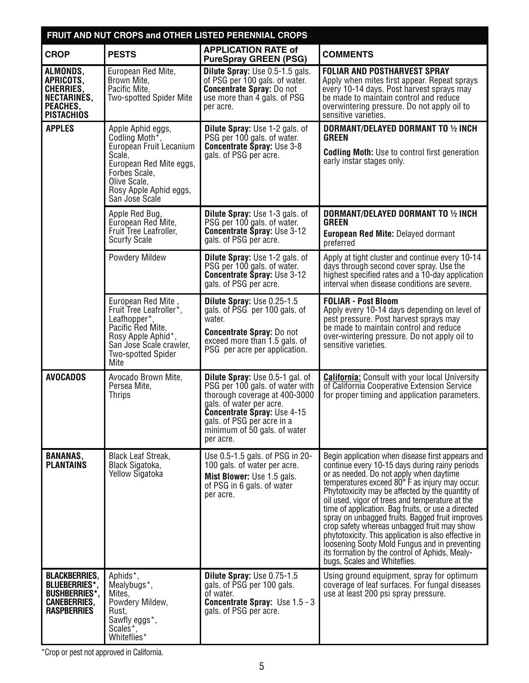| FRUIT AND NUT CROPS and OTHER LISTED PERENNIAL CROPS                                                              |                                                                                                                                                                                  |                                                                                                                                                                                                                                                         |                                                                                                                                                                                                                                                                                                                                                                                                                                                                                                                                                                                                                                                           |
|-------------------------------------------------------------------------------------------------------------------|----------------------------------------------------------------------------------------------------------------------------------------------------------------------------------|---------------------------------------------------------------------------------------------------------------------------------------------------------------------------------------------------------------------------------------------------------|-----------------------------------------------------------------------------------------------------------------------------------------------------------------------------------------------------------------------------------------------------------------------------------------------------------------------------------------------------------------------------------------------------------------------------------------------------------------------------------------------------------------------------------------------------------------------------------------------------------------------------------------------------------|
| <b>CROP</b>                                                                                                       | <b>PESTS</b>                                                                                                                                                                     | <b>APPLICATION RATE of</b><br><b>PureSpray GREEN (PSG)</b>                                                                                                                                                                                              | <b>COMMENTS</b>                                                                                                                                                                                                                                                                                                                                                                                                                                                                                                                                                                                                                                           |
| ALMONDS,<br>APRICOTS,<br>CHERRIES,<br>NECTARINÉS,<br>PEACHES,<br><b>PISTACHIOS</b>                                | European Red Mite,<br>Brown Mite,<br>Pacific Mite.<br>Two-spotted Spider Mite                                                                                                    | Dilute Spray: Use 0.5-1.5 gals.<br>of PSG per 100 gals. of water.<br><b>Concentrate Spray: Do not</b><br>use more than 4 gals. of PSG<br>per acre.                                                                                                      | <b>FOLIAR AND POSTHARVEST SPRAY</b><br>Apply when mites first appear. Repeat sprays<br>every 10-14 days. Post harvest sprays may<br>be made to maintain control and reduce<br>overwintering pressure. Do not apply oil to<br>sensitive varieties.                                                                                                                                                                                                                                                                                                                                                                                                         |
| <b>APPLES</b>                                                                                                     | Apple Aphid eggs,<br>Codling Moth*,<br>European Fruit Lecanium<br>Scale,<br>European Red Mite eggs,<br>Forbes Scale,<br>Olive Scale,<br>Rosy Apple Aphid eggs,<br>San Jose Scale | <b>Dilute Spray: Use 1-2 gals. of</b><br>PSG per 100 gals. of water.<br><b>Concentrate Spray: Use 3-8</b><br>gals. of PSG per acre.                                                                                                                     | DORMANT/DELAYED DORMANT TO 1/2 INCH<br><b>GREEN</b><br><b>Codling Moth:</b> Use to control first generation<br>early instar stages only.                                                                                                                                                                                                                                                                                                                                                                                                                                                                                                                  |
|                                                                                                                   | Apple Red Bug,<br>European Red Mite,<br>Fruit Tree Leafroller,<br><b>Scurfy Scale</b>                                                                                            | <b>Dilute Spray: Use 1-3 gals. of</b><br>PSG per 100 gals. of water.<br><b>Concentrate Spray: Use 3-12</b><br>gals. of PSG per acre.                                                                                                                    | DORMANT/DELAYED DORMANT TO 1/2 INCH<br><b>GREEN</b><br><b>European Red Mite: Delayed dormant</b><br>preferred                                                                                                                                                                                                                                                                                                                                                                                                                                                                                                                                             |
|                                                                                                                   | <b>Powdery Mildew</b>                                                                                                                                                            | <b>Dilute Spray: Use 1-2 gals. of</b><br>PSG per 100 gals. of water.<br><b>Concentrate Spray: Use 3-12</b><br>gals. of PSG per acre.                                                                                                                    | Apply at tight cluster and continue every 10-14<br>days through second cover spray. Use the<br>highest specified rates and a 10-day application<br>interval when disease conditions are severe.                                                                                                                                                                                                                                                                                                                                                                                                                                                           |
|                                                                                                                   | European Red Mite<br>Fruit Tree Leafroller*,<br>Leafhopper*,<br>Pacific Red Mite,<br>Rosy Apple Aphid*,<br>San Jose Scale crawler,<br><b>Two-spotted Spider</b><br>Mite          | Dilute Spray: Use 0.25-1.5<br>gals. of PSG per 100 gals. of<br>water.<br><b>Concentrate Spray: Do not</b><br>exceed more than 1.5 gals. of<br>PSG per acre per application.                                                                             | <b>FOLIAR - Post Bloom</b><br>Apply every 10-14 days depending on level of<br>pest pressure. Post harvest sprays may<br>be made to maintain control and reduce<br>over-wintering pressure. Do not apply oil to<br>sensitive varieties.                                                                                                                                                                                                                                                                                                                                                                                                                    |
| <b>AVOCADOS</b>                                                                                                   | Avocado Brown Mite,<br>Persea Mite,<br><b>Thrips</b>                                                                                                                             | <b>Dilute Spray:</b> Use 0.5-1 gal. of<br>PSG per 100 gals. of water with<br>thorough coverage at 400-3000<br>gals. of water per acre.<br><b>Concentrate Spray: Use 4-15</b><br>gals. of PSG per acre in a<br>minimum of 50 gals. of water<br>per acre. | <b>California:</b> Consult with your local University<br>of California Cooperative Extension Service<br>for proper timing and application parameters.                                                                                                                                                                                                                                                                                                                                                                                                                                                                                                     |
| <b>BANANAS,</b><br><b>PLANTAINS</b>                                                                               | <b>Black Leaf Streak,</b><br>Black Sigatoka,<br>Yellow Sigatoka                                                                                                                  | Use 0.5-1.5 gals. of PSG in 20-<br>100 gals. of water per acre.<br>Mist Blower: Use 1.5 gals.<br>of PSG in 6 gals. of water<br>per acre.                                                                                                                | Begin application when disease first appears and<br>continue every 10-15 days during rainy periods<br>or as needed. Do not apply when daytime<br>temperatures exceed 80° F as injury may occur.<br>Phytotoxicity may be affected by the quantity of<br>oil used, vigor of trees and temperature at the<br>time of application. Bag fruits, or use a directed<br>spray on unbagged fruits. Bagged fruit improves<br>crop safety whereas unbagged fruit may show<br>phytotoxicity. This application is also effective in<br>loosening Sooty Mold Fungus and in preventing<br>its formation by the control of Aphids, Mealy-<br>bugs, Scales and Whiteflies. |
| <b>BLACKBERRIES,</b><br><b>BLUEBERRIES*,</b><br><b>BUSHBERRIES*.</b><br><b>CANEBERRIES,</b><br><b>RASPBERRIES</b> | Aphids <sup>*</sup> ,<br>Mealybugs <sup>*</sup> ,<br>Mites,<br>Powdery Mildew,<br>Rust,<br>Sawfly eggs*,<br>Scales*<br>Whiteflies*                                               | Dilute Spray: Use 0.75-1.5<br>gals. of PSG per 100 gals.<br>of water.<br><b>Concentrate Spray: Use 1.5 - 3</b><br>gals. of PSG per acre.                                                                                                                | Using ground equipment, spray for optimum<br>coverage of leaf surfaces. For fungal diseases<br>use at least 200 psi spray pressure.                                                                                                                                                                                                                                                                                                                                                                                                                                                                                                                       |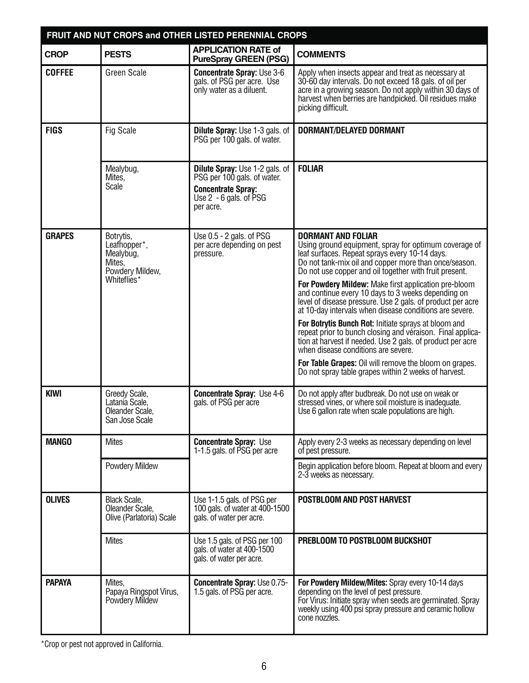| FRUIT AND NUT CROPS and OTHER LISTED PERENNIAL CROPS |                                                                                                 |                                                                                                                                              |                                                                                                                                                                                                                                                           |  |
|------------------------------------------------------|-------------------------------------------------------------------------------------------------|----------------------------------------------------------------------------------------------------------------------------------------------|-----------------------------------------------------------------------------------------------------------------------------------------------------------------------------------------------------------------------------------------------------------|--|
| <b>CROP</b>                                          | <b>PESTS</b>                                                                                    | <b>APPLICATION RATE of</b><br><b>PureSpray GREEN (PSG)</b>                                                                                   | <b>COMMENTS</b>                                                                                                                                                                                                                                           |  |
| <b>COFFEE</b>                                        | <b>Green Scale</b>                                                                              | <b>Concentrate Spray: Use 3-6</b><br>gals. of PSG per acre. Use<br>only water as a diluent.                                                  | Apply when insects appear and treat as necessary at<br>30-60 day intervals. Do not exceed 18 gals. of oil per<br>acre in a growing season. Do not apply within 30 days of<br>harvest when berries are handpicked. Oil residues make<br>picking difficult. |  |
| <b>FIGS</b>                                          | Fig Scale                                                                                       | <b>Dilute Spray:</b> Use 1-3 gals. of<br>PSG per 100 gals. of water.                                                                         | DORMANT/DELAYED DORMANT                                                                                                                                                                                                                                   |  |
|                                                      | Mealybug,<br>Mites.<br>Scale                                                                    | <b>Dilute Spray:</b> Use 1-2 gals. of<br>PSG per 100 gals. of water.<br><b>Concentrate Spray:</b><br>Use $2 - 6$ gals. of $PSG$<br>per acre. | <b>FOLIAR</b>                                                                                                                                                                                                                                             |  |
| <b>GRAPES</b>                                        | Botrytis,<br>Leafhopper <sup>*</sup> ,<br>Mealybug,<br>Mites,<br>Powdery Mildew,<br>Whiteflies* | Use $0.5 - 2$ gals. of PSG<br>per acre depending on pest<br>pressure.                                                                        | <b>DORMANT AND FOLIAR</b><br>Using ground equipment, spray for optimum coverage of<br>leaf surfaces. Repeat sprays every 10-14 days.<br>Do not tank-mix oil and copper more than once/season.<br>Do not use copper and oil together with fruit present.   |  |
|                                                      |                                                                                                 |                                                                                                                                              | For Powdery Mildew: Make first application pre-bloom<br>and continue every 10 days to 3 weeks depending on<br>level of disease pressure. Use 2 gals, of product per acre<br>at 10-day intervals when disease conditions are severe.                       |  |
|                                                      |                                                                                                 |                                                                                                                                              | For Botrytis Bunch Rot: Initiate sprays at bloom and<br>repeat prior to bunch closing and véraison. Final applica-<br>tion at harvest if needed. Use 2 gals. of product per acre<br>when disease conditions are severe.                                   |  |
|                                                      |                                                                                                 |                                                                                                                                              | For Table Grapes: Oil will remove the bloom on grapes.<br>Do not spray table grapes within 2 weeks of harvest.                                                                                                                                            |  |
| <b>KIWI</b>                                          | Greedy Scale,<br>Latania Scale,<br>Oleander Scale.<br>San Jose Scale                            | <b>Concentrate Spray: Use 4-6</b><br>gals. of PSG per acre                                                                                   | Do not apply after budbreak. Do not use on weak or<br>stressed vines, or where soil moisture is inadequate.<br>Use 6 gallon rate when scale populations are high.                                                                                         |  |
| <b>MANGO</b>                                         | <b>Mites</b>                                                                                    | <b>Concentrate Spray: Use</b><br>1-1.5 gals. of PSG per acre                                                                                 | Apply every 2-3 weeks as necessary depending on level<br>of pest pressure.                                                                                                                                                                                |  |
|                                                      | Powdery Mildew                                                                                  |                                                                                                                                              | Begin application before bloom. Repeat at bloom and every<br>2-3 weeks as necessary.                                                                                                                                                                      |  |
| <b>OLIVES</b>                                        | <b>Black Scale,</b><br>Oleander Scale,<br>Olive (Parlatoria) Scale                              | Use 1-1.5 gals. of PSG per<br>100 gals. of water at 400-1500<br>gals. of water per acre.                                                     | POSTBLOOM AND POST HARVEST                                                                                                                                                                                                                                |  |
|                                                      | <b>Mites</b>                                                                                    | Use 1.5 gals. of PSG per 100<br>gals. of water at 400-1500<br>gals. of water per acre.                                                       | PREBLOOM TO POSTBLOOM BUCKSHOT                                                                                                                                                                                                                            |  |
| <b>PAPAYA</b>                                        | Mites.<br>Papaya Ringspot Virus,<br>Powdery Mildew                                              | <b>Concentrate Spray: Use 0.75-</b><br>1.5 gals. of PSG per acre.                                                                            | For Powdery Mildew/Mites: Spray every 10-14 days<br>depending on the level of pest pressure.<br>For Virus: Initiate spray when seeds are germinated. Spray<br>weekly using 400 psi spray pressure and ceramic hollow<br>cone nozzles.                     |  |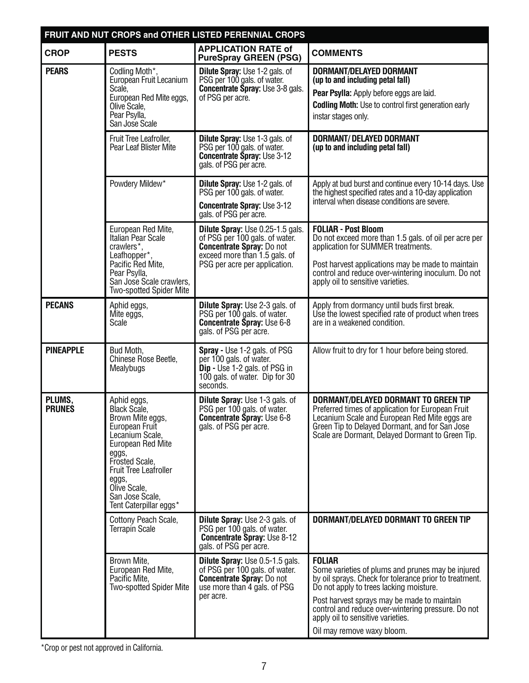|                         | FRUIT AND NUT CROPS and OTHER LISTED PERENNIAL CROPS                                                                                                                                                                                       |                                                                                                                                                                          |                                                                                                                                                                                                                                                                           |  |
|-------------------------|--------------------------------------------------------------------------------------------------------------------------------------------------------------------------------------------------------------------------------------------|--------------------------------------------------------------------------------------------------------------------------------------------------------------------------|---------------------------------------------------------------------------------------------------------------------------------------------------------------------------------------------------------------------------------------------------------------------------|--|
| <b>CROP</b>             | <b>PESTS</b>                                                                                                                                                                                                                               | <b>APPLICATION RATE of</b><br><b>PureSpray GREEN (PSG)</b>                                                                                                               | <b>COMMENTS</b>                                                                                                                                                                                                                                                           |  |
| <b>PEARS</b>            | Codling Moth*,<br>European Fruit Lecanium<br>Scale,<br>European Red Mite eggs,<br>Olive Scale,<br>Pear Psylla,<br>San Jose Scale                                                                                                           | <b>Dilute Spray:</b> Use 1-2 gals. of<br>PSG per 100 gals. of water.<br><b>Concentrate Spray: Use 3-8 gals.</b><br>of PSG per acre.                                      | DORMANT/DELAYED DORMANT<br>(up to and including petal fall)<br>Pear Psylla: Apply before eggs are laid.<br><b>Codling Moth:</b> Use to control first generation early<br>instar stages only.                                                                              |  |
|                         | Fruit Tree Leafroller.<br>Pear Leaf Blister Mite                                                                                                                                                                                           | <b>Dilute Spray: Use 1-3 gals. of</b><br>PSG per 100 gals. of water.<br><b>Concentrate Spray: Use 3-12</b><br>gals. of PSG per acre.                                     | <b>DORMANT/ DELAYED DORMANT</b><br>(up to and including petal fall)                                                                                                                                                                                                       |  |
|                         | Powdery Mildew*                                                                                                                                                                                                                            | <b>Dilute Spray: Use 1-2 gals. of</b><br>PSG per 100 gals. of water.<br><b>Concentrate Spray: Use 3-12</b><br>gals. of PSG per acre.                                     | Apply at bud burst and continue every 10-14 days. Use<br>the highest specified rates and a 10-day application<br>interval when disease conditions are severe.                                                                                                             |  |
|                         | European Red Mite,<br>Italian Pear Scale<br>crawlers*,<br>Leafhopper*,<br>Pacific Red Mite,<br>Pear Psylla,<br>San Jose Scale crawlers,<br><b>Two-spotted Spider Mite</b>                                                                  | Dilute Spray: Use 0.25-1.5 gals.<br>of PSG per 100 gals. of water.<br><b>Concentrate Spray: Do not</b><br>exceed more than 1.5 gals. of<br>PSG per acre per application. | <b>FOLIAR - Post Bloom</b><br>Do not exceed more than 1.5 gals. of oil per acre per<br>application for SUMMER treatments.<br>Post harvest applications may be made to maintain<br>control and reduce over-wintering inoculum. Do not<br>apply oil to sensitive varieties. |  |
| <b>PECANS</b>           | Aphid eggs,<br>Mite eggs,<br>Scale                                                                                                                                                                                                         | <b>Dilute Spray: Use 2-3 gals. of</b><br>PSG per 100 gals. of water.<br><b>Concentrate Spray: Use 6-8</b><br>gals. of PSG per acre.                                      | Apply from dormancy until buds first break.<br>Use the lowest specified rate of product when trees<br>are in a weakened condition.                                                                                                                                        |  |
| <b>PINEAPPLE</b>        | Bud Moth,<br>Chinese Rose Beetle,<br>Mealybugs                                                                                                                                                                                             | <b>Spray</b> - Use 1-2 gals. of PSG<br>per 100 gals. of water.<br>Dip - Use 1-2 gals. of PSG in<br>100 gals. of water. Dip for 30<br>seconds.                            | Allow fruit to dry for 1 hour before being stored.                                                                                                                                                                                                                        |  |
| PLUMS,<br><b>PRUNES</b> | Aphid eggs,<br>Black Scale,<br>Brown Mite eggs,<br>European Fruit<br>Lecanium Scale,<br>European Red Mite<br>eggs,<br>Frosted Scale,<br><b>Fruit Tree Leafroller</b><br>eggs,<br>Olive Scale,<br>San Jose Scale,<br>Tent Caterpillar eggs* | <b>Dilute Spray: Use 1-3 gals. of</b><br>PSG per 100 gals. of water.<br><b>Concentrate Spray: Use 6-8</b><br>gals. of PSG per acre.                                      | <b>DORMANT/DELAYED DORMANT TO GREEN TIP</b><br>Preferred times of application for European Fruit<br>Lecanium Scale and European Red Mite eggs are<br>Green Tip to Delayed Dormant, and for San Jose<br>Scale are Dormant, Delayed Dormant to Green Tip.                   |  |
|                         | Cottony Peach Scale,<br><b>Terrapin Scale</b>                                                                                                                                                                                              | <b>Dilute Spray: Use 2-3 gals. of</b><br>PSG per 100 gals. of water.<br>Concentrate Spray: Use 8-12<br>gals. of PSG per acre.                                            | DORMANT/DELAYED DORMANT TO GREEN TIP                                                                                                                                                                                                                                      |  |
|                         | Brown Mite,<br>European Red Mite,<br>Pacific Mite,<br><b>Two-spotted Spider Mite</b>                                                                                                                                                       | Dilute Spray: Use 0.5-1.5 gals.<br>of PSG per 100 gals. of water.<br><b>Concentrate Spray: Do not</b><br>use more than 4 gals. of PSG<br>per acre.                       | <b>FOLIAR</b><br>Some varieties of plums and prunes may be injured<br>by oil sprays. Check for tolerance prior to treatment.<br>Do not apply to trees lacking moisture.<br>Post harvest sprays may be made to maintain                                                    |  |
|                         |                                                                                                                                                                                                                                            |                                                                                                                                                                          | control and reduce over-wintering pressure. Do not<br>apply oil to sensitive varieties.<br>Oil may remove waxy bloom.                                                                                                                                                     |  |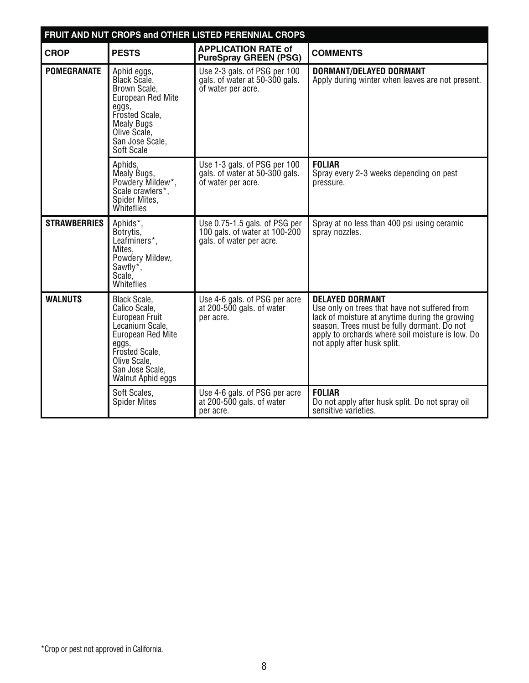|                     | FRUIT AND NUT CROPS and OTHER LISTED PERENNIAL CROPS                                                                                                                                                                                                             |                                                                                            |                                                                                                                                                                                                                                                             |  |
|---------------------|------------------------------------------------------------------------------------------------------------------------------------------------------------------------------------------------------------------------------------------------------------------|--------------------------------------------------------------------------------------------|-------------------------------------------------------------------------------------------------------------------------------------------------------------------------------------------------------------------------------------------------------------|--|
| <b>CROP</b>         | <b>PESTS</b>                                                                                                                                                                                                                                                     | <b>APPLICATION RATE of</b><br><b>PureSpray GREEN (PSG)</b>                                 | <b>COMMENTS</b>                                                                                                                                                                                                                                             |  |
| <b>POMEGRANATE</b>  | Use 2-3 gals. of PSG per 100<br>Aphid eggs,<br>Black Scale,<br>gals. of water at 50-300 gals.<br>of water per acre.<br>Brown Scale,<br><b>European Red Mite</b><br>eggs,<br>Frosted Scale,<br><b>Mealy Bugs</b><br>Olive Scale,<br>San Jose Scale,<br>Soft Scale |                                                                                            | DORMANT/DELAYED DORMANT<br>Apply during winter when leaves are not present.                                                                                                                                                                                 |  |
|                     | Aphids.<br>Mealy Bugs,<br>Powdery Mildew*,<br>Scale crawlers*,<br>Spider Mites,<br>Whiteflies                                                                                                                                                                    | Use 1-3 gals. of PSG per 100<br>gals. of water at 50-300 gals.<br>of water per acre.       | <b>FOLIAR</b><br>Spray every 2-3 weeks depending on pest<br>pressure.                                                                                                                                                                                       |  |
| <b>STRAWBERRIES</b> | Aphids*,<br>Botrytis,<br>Leafminers*,<br>Mites.<br>Powdery Mildew,<br>Sawfly <sup>*</sup> ,<br>Scale,<br>Whiteflies                                                                                                                                              | Use 0.75-1.5 gals. of PSG per<br>100 gals. of water at 100-200<br>gals. of water per acre. | Spray at no less than 400 psi using ceramic<br>spray nozzles.                                                                                                                                                                                               |  |
| <b>WALNUTS</b>      | <b>Black Scale,</b><br>Calico Scale,<br><b>European Fruit</b><br>Lecanium Scale,<br>European Red Mite<br>eggs,<br>Frosted Scale,<br>Olive Scale,<br>San Jose Scale,<br>Walnut Aphid eggs                                                                         | Use 4-6 gals. of PSG per acre<br>at 200-500 gals. of water<br>per acre.                    | <b>DELAYED DORMANT</b><br>Use only on trees that have not suffered from<br>lack of moisture at anytime during the growing<br>season. Trees must be fully dormant. Do not<br>apply to orchards where soil moisture is low. Do<br>not apply after husk split. |  |
|                     | Soft Scales,<br><b>Spider Mites</b>                                                                                                                                                                                                                              | Use 4-6 gals. of PSG per acre<br>at 200-500 gals. of water<br>per acre.                    | <b>FOLIAR</b><br>Do not apply after husk split. Do not spray oil<br>sensitive varieties.                                                                                                                                                                    |  |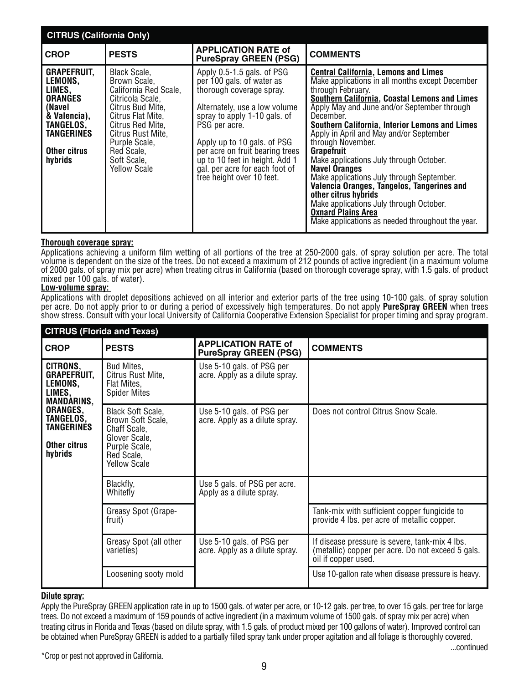| <b>CITRUS (California Only)</b>                                                                                                                  |                                                                                                                                                                                                                                  |                                                                                                                                                                                                                                                                                                                                          |                                                                                                                                                                                                                                                                                                                                                                                                                                                                                                                                                                                                                                                                                                  |
|--------------------------------------------------------------------------------------------------------------------------------------------------|----------------------------------------------------------------------------------------------------------------------------------------------------------------------------------------------------------------------------------|------------------------------------------------------------------------------------------------------------------------------------------------------------------------------------------------------------------------------------------------------------------------------------------------------------------------------------------|--------------------------------------------------------------------------------------------------------------------------------------------------------------------------------------------------------------------------------------------------------------------------------------------------------------------------------------------------------------------------------------------------------------------------------------------------------------------------------------------------------------------------------------------------------------------------------------------------------------------------------------------------------------------------------------------------|
| <b>CROP</b>                                                                                                                                      | <b>PESTS</b>                                                                                                                                                                                                                     | <b>APPLICATION RATE of</b><br><b>PureSpray GREEN (PSG)</b>                                                                                                                                                                                                                                                                               | <b>COMMENTS</b>                                                                                                                                                                                                                                                                                                                                                                                                                                                                                                                                                                                                                                                                                  |
| <b>GRAPEFRUIT,</b><br>LEMONS.<br>LIMES,<br><b>ORANGES</b><br>(Navel<br>& Valencia),<br>TANGELOS.<br><b>TANGERINES</b><br>Other citrus<br>hybrids | Black Scale,<br>Brown Scale,<br>California Red Scale,<br>Citricola Scale,<br>Citrus Bud Mite.<br>Citrus Flat Mite.<br>Citrus Red Mite.<br>Citrus Rust Mite,<br>Purple Scale,<br>Red Scale,<br>Soft Scale,<br><b>Yellow Scale</b> | Apply 0.5-1.5 gals. of PSG<br>per 100 gals. of water as<br>thorough coverage spray.<br>Alternately, use a low volume<br>spray to apply 1-10 gals. of<br>PSG per acre.<br>Apply up to 10 gals. of PSG<br>per acre on fruit bearing trees<br>up to 10 feet in height. Add 1<br>gal. per acre for each foot of<br>tree height over 10 feet. | <b>Central California, Lemons and Limes</b><br>Make applications in all months except December<br>through February.<br><b>Southern California, Coastal Lemons and Limes</b><br>Apply May and June and/or September through<br>December.<br>Southern California, Interior Lemons and Limes<br>Apply in April and May and/or September<br>through November.<br><b>Grapefruit</b><br>Make applications July through October.<br><b>Navel Oranges</b><br>Make applications July through September.<br>Valencia Oranges, Tangelos, Tangerines and<br>other citrus hybrids<br>Make applications July through October.<br><b>Oxnard Plains Area</b><br>Make applications as needed throughout the year. |

#### **Thorough coverage spray:**

Applications achieving a uniform film wetting of all portions of the tree at 250-2000 gals. of spray solution per acre. The total volume is dependent on the size of the trees. Do not exceed a maximum of 212 pounds of active ingredient (in a maximum volume of 2000 gals. of spray mix per acre) when treating citrus in California (based on thorough coverage spray, with 1.5 gals. of product mixed per 100 gals. of water).

#### **Low-volume spray:**

Applications with droplet depositions achieved on all interior and exterior parts of the tree using 10-100 gals. of spray solution per acre. Do not apply prior to or during a period of excessively high temperatures. Do not apply **PureSpray GREEN** when trees show stress. Consult with your local University of California Cooperative Extension Specialist for proper timing and spray program.

| <b>CITRUS (Florida and Texas)</b>                                 |                                                                                                                               |                                                             |                                                                                                                            |
|-------------------------------------------------------------------|-------------------------------------------------------------------------------------------------------------------------------|-------------------------------------------------------------|----------------------------------------------------------------------------------------------------------------------------|
| <b>CROP</b>                                                       | <b>PESTS</b>                                                                                                                  | <b>APPLICATION RATE of</b><br><b>PureSpray GREEN (PSG)</b>  | <b>COMMENTS</b>                                                                                                            |
| CITRONS,<br>GRAPEFRUIT,<br>LEMONS,<br>LIMES,<br><b>MANDARINS,</b> | Bud Mites,<br>Citrus Rust Mite,<br>Flat Mites,<br><b>Spider Mites</b>                                                         | Use 5-10 gals. of PSG per<br>acre. Apply as a dilute spray. |                                                                                                                            |
| ORANGES,<br>TANGELOS,<br>TANGERINES<br>Other citrus<br>hybrids    | <b>Black Soft Scale,</b><br>Brown Soft Scale,<br>Chaff Scale,<br>Glover Scale,<br>Purple Scale,<br>Red Scale,<br>Yellow Scale | Use 5-10 gals. of PSG per<br>acre. Apply as a dilute spray. | Does not control Citrus Snow Scale.                                                                                        |
|                                                                   | Blackfly,<br>Whitefly                                                                                                         | Use 5 gals. of PSG per acre.<br>Apply as a dilute spray.    |                                                                                                                            |
|                                                                   | Greasy Spot (Grape-<br>fruit)                                                                                                 |                                                             | Tank-mix with sufficient copper fungicide to<br>provide 4 lbs. per acre of metallic copper.                                |
|                                                                   | Greasy Spot (all other<br>varieties)                                                                                          | Use 5-10 gals. of PSG per<br>acre. Apply as a dilute spray. | If disease pressure is severe, tank-mix 4 lbs.<br>(metallic) copper per acre. Do not exceed 5 gals.<br>oil if copper used. |
|                                                                   | Loosening sooty mold                                                                                                          |                                                             | Use 10-gallon rate when disease pressure is heavy.                                                                         |

#### **Dilute spray:**

Apply the PureSpray GREEN application rate in up to 1500 gals. of water per acre, or 10-12 gals. per tree, to over 15 gals. per tree for large trees. Do not exceed a maximum of 159 pounds of active ingredient (in a maximum volume of 1500 gals. of spray mix per acre) when treating citrus in Florida and Texas (based on dilute spray, with 1.5 gals. of product mixed per 100 gallons of water). Improved control can be obtained when PureSpray GREEN is added to a partially filled spray tank under proper agitation and all foliage is thoroughly covered. ...continued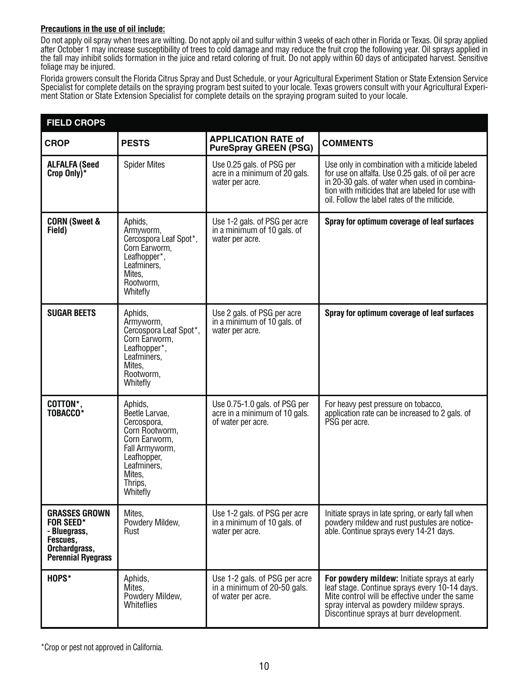#### **Precautions in the use of oil include:**

Do not apply oil spray when trees are wilting. Do not apply oil and sulfur within 3 weeks of each other in Florida or Texas. Oil spray applied after October 1 may increase susceptibility of trees to cold damage and may reduce the fruit crop the following year. Oil sprays applied in the fall may inhibit solids formation in the juice and retard coloring of fruit. Do not apply within 60 days of anticipated harvest. Sensitive foliage may be injured.

Florida growers consult the Florida Citrus Spray and Dust Schedule, or your Agricultural Experiment Station or State Extension Service Specialist for complete details on the spraying program best suited to your locale. Texas growers consult with your Agricultural Experiment Station or State Extension Specialist for complete details on the spraying program suited to your locale.

| <b>FIELD CROPS</b>                                                                                          |                                                                                                                                                              |                                                                                      |                                                                                                                                                                                                                                                             |  |
|-------------------------------------------------------------------------------------------------------------|--------------------------------------------------------------------------------------------------------------------------------------------------------------|--------------------------------------------------------------------------------------|-------------------------------------------------------------------------------------------------------------------------------------------------------------------------------------------------------------------------------------------------------------|--|
| <b>CROP</b>                                                                                                 | <b>PESTS</b>                                                                                                                                                 | <b>APPLICATION RATE of</b><br><b>PureSpray GREEN (PSG)</b>                           | <b>COMMENTS</b>                                                                                                                                                                                                                                             |  |
| <b>ALFALFA (Seed</b><br>Crop Only)*                                                                         | <b>Spider Mites</b>                                                                                                                                          | Use 0.25 gals. of PSG per<br>acre in a minimum of 20 gals.<br>water per acre.        | Use only in combination with a miticide labeled<br>for use on alfalfa. Use 0.25 gals. of oil per acre<br>in 20-30 gals. of water when used in combina-<br>tion with miticides that are labeled for use with<br>oil. Follow the label rates of the miticide. |  |
| <b>CORN (Sweet &amp;</b><br>Field)                                                                          | Aphids,<br>Armyworm,<br>Cercospora Leaf Spot*,<br>Corn Earworm,<br>Leafhopper*,<br>Leafminers,<br>Mites,<br>Rootworm,<br>Whitefly                            | Use 1-2 gals. of PSG per acre<br>in a minimum of 10 gals. of<br>water per acre.      | Spray for optimum coverage of leaf surfaces                                                                                                                                                                                                                 |  |
| <b>SUGAR BEETS</b>                                                                                          | Aphids,<br>Armyworm,<br>Cercospora Leaf Spot*,<br>Corn Earworm,<br>Leafhopper*,<br>Leafminers,<br>Mites,<br>Rootworm,<br>Whitefly                            | Use 2 gals. of PSG per acre<br>in a minimum of 10 gals. of<br>water per acre.        | Spray for optimum coverage of leaf surfaces                                                                                                                                                                                                                 |  |
| COTTON*,<br>TOBACCO <sup>*</sup>                                                                            | Aphids,<br>Beetle Larvae,<br>Cercospora,<br>Corn Rootworm,<br>Corn Earworm,<br>Fall Armyworm,<br>Leafhopper,<br>Leafminers,<br>Mites.<br>Thrips,<br>Whitefly | Use 0.75-1.0 gals. of PSG per<br>acre in a minimum of 10 gals.<br>of water per acre. | For heavy pest pressure on tobacco,<br>application rate can be increased to 2 gals. of<br>PSG per acre.                                                                                                                                                     |  |
| <b>GRASSES GROWN</b><br><b>FOR SEED*</b><br>- Bluegrass,<br>Fescues,<br>Orchardgrass,<br>Perennial Ryegrass | Mites,<br>Powdery Mildew,<br>Rust                                                                                                                            | Use 1-2 gals. of PSG per acre<br>in a minimum of 10 gals. of<br>water per acre.      | Initiate sprays in late spring, or early fall when<br>powdery mildew and rust pustules are notice-<br>able. Continue sprays every 14-21 days.                                                                                                               |  |
| HOPS*                                                                                                       | Aphids,<br>Mites,<br>Powdery Mildew,<br>Whiteflies                                                                                                           | Use 1-2 gals. of PSG per acre<br>in a minimum of 20-50 gals.<br>of water per acre.   | For powdery mildew: Initiate sprays at early<br>leaf stage. Continue sprays every 10-14 days.<br>Mite control will be effective under the same<br>spray interval as powdery mildew sprays.<br>Discontinue sprays at burr development.                       |  |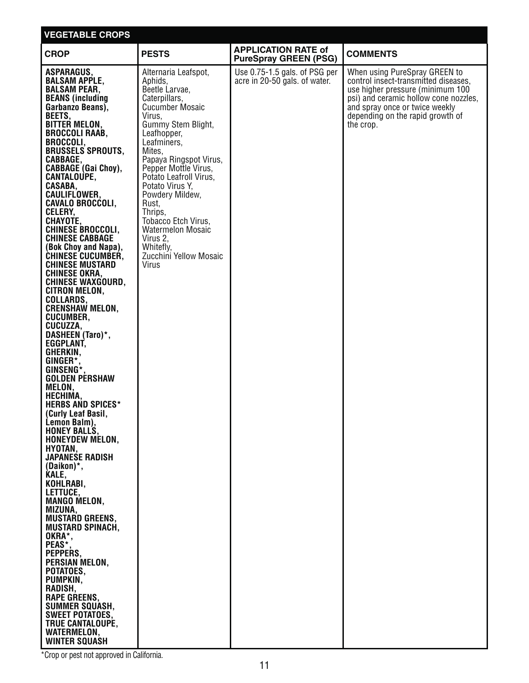| <b>VEGETABLE CROPS</b>                                                                                                                                                                                                                                                                                                                                                                                                                                                                                                                                                                                                                                                                                                                                                                                                                                                                                                                                                                                                                                                                                                                                                                                                                                                                                       |                                                                                                                                                                                                                                                                                                                                                                                                                           |                                                                |                                                                                                                                                                                                                                       |
|--------------------------------------------------------------------------------------------------------------------------------------------------------------------------------------------------------------------------------------------------------------------------------------------------------------------------------------------------------------------------------------------------------------------------------------------------------------------------------------------------------------------------------------------------------------------------------------------------------------------------------------------------------------------------------------------------------------------------------------------------------------------------------------------------------------------------------------------------------------------------------------------------------------------------------------------------------------------------------------------------------------------------------------------------------------------------------------------------------------------------------------------------------------------------------------------------------------------------------------------------------------------------------------------------------------|---------------------------------------------------------------------------------------------------------------------------------------------------------------------------------------------------------------------------------------------------------------------------------------------------------------------------------------------------------------------------------------------------------------------------|----------------------------------------------------------------|---------------------------------------------------------------------------------------------------------------------------------------------------------------------------------------------------------------------------------------|
| <b>CROP</b>                                                                                                                                                                                                                                                                                                                                                                                                                                                                                                                                                                                                                                                                                                                                                                                                                                                                                                                                                                                                                                                                                                                                                                                                                                                                                                  | <b>PESTS</b>                                                                                                                                                                                                                                                                                                                                                                                                              | <b>APPLICATION RATE of</b><br><b>PureSpray GREEN (PSG)</b>     | <b>COMMENTS</b>                                                                                                                                                                                                                       |
| ASPARAGUS,<br><b>BALSAM APPLE.</b><br><b>BALSAM PEAR.</b><br><b>BEANS</b> (including<br>Garbanzo Beans),<br>BEETS,<br><b>BITTER MELON,</b><br><b>BROCCOLI RAAB,</b><br><b>BROCCOLI,</b><br><b>BRUSSELS SPROUTS,</b><br>CABBAGE,<br><b>CABBAGE (Gai Choy),</b><br><b>CANTALOUPE,</b><br>CASABA,<br>CAULIFLOWER,<br><b>CAVALO BROCCOLI,</b><br>CELERY,<br>CHAYOTE,<br>CHINESE BROCCOLI,<br><b>CHINESE CABBAGE</b><br>(Bok Choy and Napa),<br><b>CHINESE CUCUMBER,</b><br><b>CHINESE MUSTARD</b><br><b>CHINESE OKRA,</b><br><b>CHINESE WAXGOURD,</b><br><b>CITRON MELON,</b><br>COLLARDS,<br><b>CRENSHAW MELON,</b><br><b>CUCUMBER,</b><br>CUCUZZA,<br>DASHEEN (Taro)*,<br>EGGPLANT,<br>GHERKIN,<br>GINGER*,<br>GINSENG*,<br><b>GOLDEN PERSHAW</b><br>MELON,<br>HECHIMA,<br><b>HERBS AND SPICES*</b><br>(Curly Leaf Basil,<br>Lemon Balm),<br><b>HONEY BALLS,</b><br><b>HONEYDEW MELON,</b><br>HYOTAN,<br><b>JAPANESE RADISH</b><br>(Daikon)*,<br>KALE,<br>KOHLRABI,<br>LETTUCE,<br><b>MANGO MELON.</b><br>MIZUNA,<br><b>MUSTARD GREENS,</b><br><b>MUSTARD SPINACH,</b><br>OKRA*,<br>PEAS*<br>PEPPERS,<br>PERSIAN MELON,<br>POTATOES,<br>PUMPKIN,<br>RADISH,<br><b>RAPE GREENS,</b><br><b>SUMMER SQUASH,</b><br><b>SWEET POTATOES,</b><br><b>TRUE CANTALOUPE,</b><br><b>WATERMELON,</b><br><b>WINTER SQUASH</b> | Alternaria Leafspot,<br>Aphids,<br>Beetle Larvae,<br>Caterpillars,<br><b>Cucumber Mosaic</b><br>Virus,<br>Gummy Stem Blight,<br>Leafhopper,<br>Leafminers,<br>Mites,<br>Papaya Ringspot Virus,<br>Pepper Mottle Virus,<br>Potato Leafroll Virus,<br>Potato Virus Y,<br>Powdery Mildew,<br>Rust,<br>Thrips,<br>Tobacco Etch Virus.<br><b>Watermelon Mosaic</b><br>Virus 2,<br>Whitefly,<br>Zucchini Yellow Mosaic<br>Virus | Use 0.75-1.5 gals. of PSG per<br>acre in 20-50 gals. of water. | When using PureSpray GREEN to<br>control insect-transmitted diseases,<br>use higher pressure (minimum 100<br>psi) and ceramic hollow cone nozzles,<br>and spray once or twice weekly<br>depending on the rapid growth of<br>the crop. |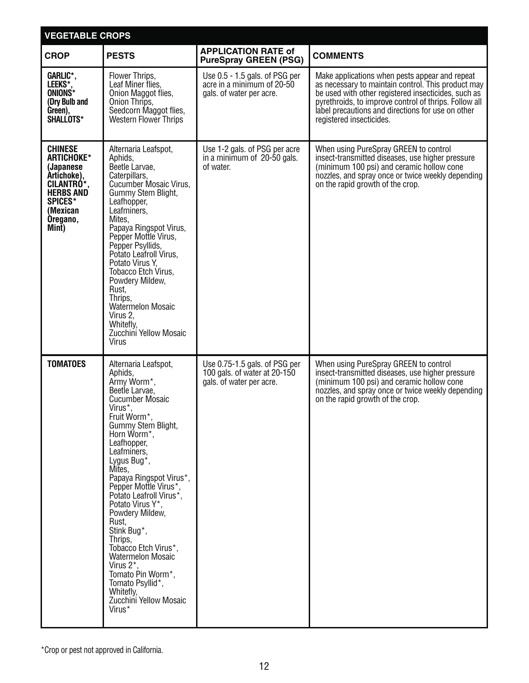| <b>VEGETABLE CROPS</b>                                                                                                                        |                                                                                                                                                                                                                                                                                                                                                                                                                                                                                                                                                    |                                                                                           |                                                                                                                                                                                                                                                                                                       |
|-----------------------------------------------------------------------------------------------------------------------------------------------|----------------------------------------------------------------------------------------------------------------------------------------------------------------------------------------------------------------------------------------------------------------------------------------------------------------------------------------------------------------------------------------------------------------------------------------------------------------------------------------------------------------------------------------------------|-------------------------------------------------------------------------------------------|-------------------------------------------------------------------------------------------------------------------------------------------------------------------------------------------------------------------------------------------------------------------------------------------------------|
| <b>CROP</b>                                                                                                                                   | <b>PESTS</b>                                                                                                                                                                                                                                                                                                                                                                                                                                                                                                                                       | <b>APPLICATION RATE of</b><br><b>PureSpray GREEN (PSG)</b>                                | <b>COMMENTS</b>                                                                                                                                                                                                                                                                                       |
| GARLIC*,<br>LEEKS*,<br>ONIONS*<br>(Dry Bulb and<br>Green),<br>SHALLOTS*                                                                       | Flower Thrips,<br>Leaf Miner flies,<br>Onion Maggot flies,<br>Onion Thrips,<br>Seedcorn Maggot flies,<br><b>Western Flower Thrips</b>                                                                                                                                                                                                                                                                                                                                                                                                              | Use 0.5 - 1.5 gals. of PSG per<br>acre in a minimum of 20-50<br>gals. of water per acre.  | Make applications when pests appear and repeat<br>as necessary to maintain control. This product may<br>be used with other registered insecticides, such as<br>pyrethroids, to improve control of thrips. Follow all<br>label precautions and directions for use on other<br>registered insecticides. |
| <b>CHINESE</b><br>ARTICHOKE*<br>(Japanese<br>Artichoke),<br>CILANTRÓ*,<br><b>HERBS AND</b><br><b>SPICES*</b><br>(Mexican<br>Oregano,<br>Mint) | Alternaria Leafspot,<br>Aphids,<br>Beetle Larvae,<br>Caterpillars,<br><b>Cucumber Mosaic Virus,</b><br>Gummy Stem Blight,<br>Leafhopper,<br>Leafminers,<br>Mites.<br>Papaya Ringspot Virus,<br>Pepper Mottle Virus,<br>Pepper Psyllids,<br>Potato Leafroll Virus.<br>Potato Virus Y,<br>Tobacco Etch Virus,<br>Powdery Mildew,<br>Rust,<br>Thrips,<br><b>Watermelon Mosaic</b><br>Virus 2,<br>Whitefly,<br>Zucchini Yellow Mosaic<br><b>Virus</b>                                                                                                  | Use 1-2 gals. of PSG per acre<br>in a minimum of 20-50 gals.<br>of water.                 | When using PureSpray GREEN to control<br>insect-transmitted diseases, use higher pressure<br>(minimum 100 psi) and ceramic hollow cone<br>nozzles, and spray once or twice weekly depending<br>on the rapid growth of the crop.                                                                       |
| <b>TOMATOES</b>                                                                                                                               | Alternaria Leafspot,<br>Aphids,<br>Army Worm*,<br>Beetle Larvae,<br><b>Cucumber Mosaic</b><br>Virus*,<br>Fruit Worm*,<br>Gummy Stem Blight,<br>Horn Worm <sup>*</sup> ,<br>Leafhopper,<br>Leafminers,<br>Lygus Bug*,<br>Mites,<br>Papaya Ringspot Virus*,<br>Pepper Mottle Virus*,<br>Potato Leafroll Virus*,<br>Potato Virus Y*,<br>Powdery Mildew,<br>Rust,<br>Stink Bug*,<br>Thrips,<br>Tobacco Etch Virus*,<br><b>Watermelon Mosaic</b><br>Virus 2*,<br>Tomato Pin Worm*,<br>Tomato Psyllid*,<br>Whitefly,<br>Zucchini Yellow Mosaic<br>Virus* | Use 0.75-1.5 gals. of PSG per<br>100 gals. of water at 20-150<br>gals. of water per acre. | When using PureSpray GREEN to control<br>insect-transmitted diseases, use higher pressure<br>(minimum 100 psi) and ceramic hollow cone<br>nozzles, and spray once or twice weekly depending<br>on the rapid growth of the crop.                                                                       |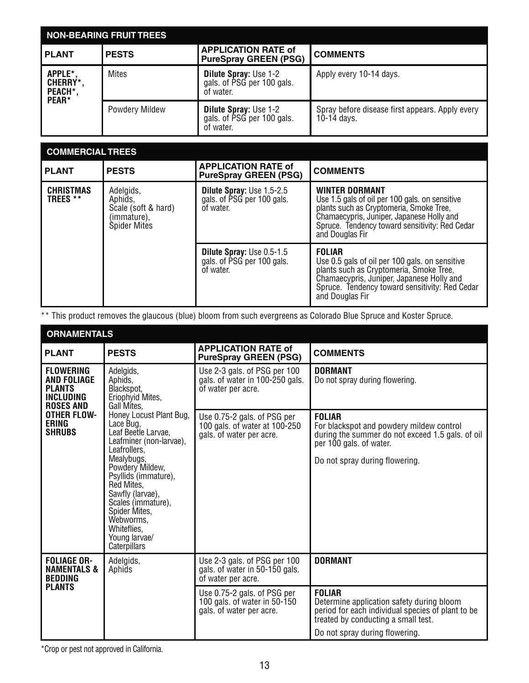| <b>NON-BEARING FRUIT TREES</b>                         |                       |                                                                         |                                                                  |
|--------------------------------------------------------|-----------------------|-------------------------------------------------------------------------|------------------------------------------------------------------|
| <b>PLANT</b>                                           | <b>PESTS</b>          | <b>APPLICATION RATE of</b><br>PureSpray GREEN (PSG)                     | <b>COMMENTS</b>                                                  |
| APPLE*.<br><b>CHERRY*.</b><br>PEACH*,<br><b>PEAR</b> * | <b>Mites</b>          | <b>Dilute Spray: Use 1-2</b><br>gals. of PSG per 100 gals.<br>of water. | Apply every 10-14 days.                                          |
|                                                        | <b>Powdery Mildew</b> | <b>Dilute Spray: Use 1-2</b><br>gals. of PSG per 100 gals.<br>of water. | Spray before disease first appears. Apply every<br>$10-14$ days. |

| <b>COMMERCIAL TREES</b>      |                                                                                   |                                                                             |                                                                                                                                                                                                                                      |
|------------------------------|-----------------------------------------------------------------------------------|-----------------------------------------------------------------------------|--------------------------------------------------------------------------------------------------------------------------------------------------------------------------------------------------------------------------------------|
| <b>PLANT</b>                 | <b>PESTS</b>                                                                      | <b>APPLICATION RATE of</b><br><b>PureSpray GREEN (PSG)</b>                  | <b>COMMENTS</b>                                                                                                                                                                                                                      |
| <b>CHRISTMAS</b><br>TREES ** | Adelgids,<br>Aphids,<br>Scale (soft & hard)<br>(immature),<br><b>Spider Mites</b> | <b>Dilute Spray: Use 1.5-2.5</b><br>gals. of PSG per 100 gals.<br>of water. | <b>WINTER DORMANT</b><br>Use 1.5 gals of oil per 100 gals. on sensitive<br>plants such as Cryptomeria, Smoke Tree,<br>Chamaecypris, Juniper, Japanese Holly and<br>Spruce. Tendency toward sensitivity: Red Cedar<br>and Douglas Fir |
|                              |                                                                                   | <b>Dilute Spray: Use 0.5-1.5</b><br>gals. of PSG per 100 gals.<br>of water. | <b>FOLIAR</b><br>Use 0.5 gals of oil per 100 gals, on sensitive<br>plants such as Cryptomeria, Smoke Tree,<br>Chamaecypris, Juniper, Japanese Holly and<br>Spruce. Tendency toward sensitivity: Red Cedar<br>and Douglas Fir         |

\*\* This product removes the glaucous (blue) bloom from such evergreens as Colorado Blue Spruce and Koster Spruce.

| <b>ORNAMENTALS</b>                                                                              |                                                                                                                                                                                                                                                                                                                                                                                |                                                                                          |                                                                                                                                                                                          |
|-------------------------------------------------------------------------------------------------|--------------------------------------------------------------------------------------------------------------------------------------------------------------------------------------------------------------------------------------------------------------------------------------------------------------------------------------------------------------------------------|------------------------------------------------------------------------------------------|------------------------------------------------------------------------------------------------------------------------------------------------------------------------------------------|
| <b>PLANT</b>                                                                                    | <b>PESTS</b>                                                                                                                                                                                                                                                                                                                                                                   | <b>APPLICATION RATE of</b><br><b>PureSpray GREEN (PSG)</b>                               | <b>COMMENTS</b>                                                                                                                                                                          |
| <b>FLOWERING</b><br><b>AND FOLIAGE</b><br><b>PLANTS</b><br><b>INCLUDING</b><br><b>ROSES AND</b> | Adelgids,<br>Aphids,<br>Blackspot.<br>Eriophyid Mites,<br>Gall Mites.<br>Honey Locust Plant Bug,<br>Lace Bug,<br>Leaf Beetle Larvae,<br>Leafminer (non-larvae),<br>Leafrollers.<br>Mealybugs,<br>Powdery Mildew,<br>Psyllids (immature),<br>Red Mites.<br>Sawfly (larvae),<br>Scales (immature),<br>Spider Mites,<br>Webworms,<br>Whiteflies,<br>Young larvae/<br>Caterpillars | Use 2-3 gals. of PSG per 100<br>gals. of water in 100-250 gals.<br>of water per acre.    | <b>DORMANT</b><br>Do not spray during flowering.                                                                                                                                         |
| <b>OTHER FLOW-</b><br><b>ERING</b><br><b>SHRUBS</b>                                             |                                                                                                                                                                                                                                                                                                                                                                                | Use 0.75-2 gals. of PSG per<br>100 gals. of water at 100-250<br>gals. of water per acre. | <b>FOLIAR</b><br>For blackspot and powdery mildew control<br>during the summer do not exceed 1.5 gals, of oil<br>per 100 gals. of water.<br>Do not spray during flowering.               |
| <b>FOLIAGE OR-</b><br><b>NAMENTALS &amp;</b><br><b>BEDDING</b>                                  | Adelgids,<br>Aphids                                                                                                                                                                                                                                                                                                                                                            | Use 2-3 gals. of PSG per 100<br>gals. of water in 50-150 gals.<br>of water per acre.     | <b>DORMANT</b>                                                                                                                                                                           |
| <b>PLANTS</b>                                                                                   |                                                                                                                                                                                                                                                                                                                                                                                | Use 0.75-2 gals. of PSG per<br>100 gals. of water in 50-150<br>gals. of water per acre.  | <b>FOLIAR</b><br>Determine application safety during bloom<br>period for each individual species of plant to be<br>treated by conducting a small test.<br>Do not spray during flowering. |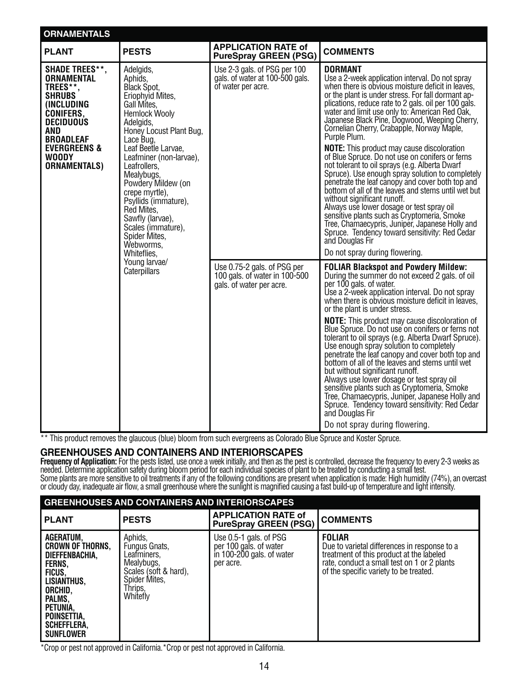| <b>ORNAMENTALS</b>                                                                                                                                                                                                                                                                                                                                                                                                                                                                                                             |                                                                                                      |                                                                                          |                                                                                                                                                                                                                                                                                                                                                                                                                                                                                                                                                                                                                                                                                                                                                                                                                                                                                                                                                                                                                     |
|--------------------------------------------------------------------------------------------------------------------------------------------------------------------------------------------------------------------------------------------------------------------------------------------------------------------------------------------------------------------------------------------------------------------------------------------------------------------------------------------------------------------------------|------------------------------------------------------------------------------------------------------|------------------------------------------------------------------------------------------|---------------------------------------------------------------------------------------------------------------------------------------------------------------------------------------------------------------------------------------------------------------------------------------------------------------------------------------------------------------------------------------------------------------------------------------------------------------------------------------------------------------------------------------------------------------------------------------------------------------------------------------------------------------------------------------------------------------------------------------------------------------------------------------------------------------------------------------------------------------------------------------------------------------------------------------------------------------------------------------------------------------------|
| <b>PLANT</b>                                                                                                                                                                                                                                                                                                                                                                                                                                                                                                                   | <b>PESTS</b>                                                                                         | <b>APPLICATION RATE of</b><br><b>PureSpray GREEN (PSG)</b>                               | <b>COMMENTS</b>                                                                                                                                                                                                                                                                                                                                                                                                                                                                                                                                                                                                                                                                                                                                                                                                                                                                                                                                                                                                     |
| <b>SHADE TREES**,</b><br>Adelgids,<br><b>ORNAMENTAL</b><br>Aphids.<br>TREES**,<br>Black Spot,<br><b>SHRUBS</b><br>Eriophyid Mites,<br>(INCLUDING<br>Gall Mites.<br><b>CONIFERS.</b><br><b>Hemlock Wooly</b><br><b>DECIDUOUS</b><br>Adelgids,<br><b>AND</b><br><b>BROADLEAF</b><br>Lace Bug,<br><b>EVERGREENS &amp;</b><br>Leaf Beetle Larvae,<br>WOODY<br><b>ORNAMENTALS)</b><br>Leafrollers,<br>Mealybugs,<br>crepe myrtle),<br>Psyllids (immature),<br>Red Mites,<br>Sawfly (larvae),<br>Scales (immature),<br>Spider Mites, | Honey Locust Plant Bug,<br>Leafminer (non-larvae),<br>Powdery Mildew (on<br>Webworms,<br>Whiteflies. | Use 2-3 gals. of PSG per 100<br>gals. of water at 100-500 gals.<br>of water per acre.    | <b>DORMANT</b><br>Use a 2-week application interval. Do not spray<br>when there is obvious moisture deficit in leaves,<br>or the plant is under stress. For fall dormant ap-<br>plications, reduce rate to 2 gals. oil per 100 gals.<br>water and limit use only to: American Red Oak,<br>Japanese Black Pine, Dogwood, Weeping Cherry,<br>Cornelian Cherry, Crabapple, Norway Maple,<br>Purple Plum.<br><b>NOTE:</b> This product may cause discoloration<br>of Blue Spruce. Do not use on conifers or ferns<br>not tolerant to oil sprays (e.g. Alberta Dwarf<br>Spruce). Use enough spray solution to completely<br>penetrate the leaf canopy and cover both top and<br>bottom of all of the leaves and stems until wet but<br>without significant runoff.<br>Always use lower dosage or test spray oil<br>sensitive plants such as Cryptomeria, Smoke<br>Tree, Chamaecypris, Juniper, Japanese Holly and<br>Spruce. Tendency toward sensitivity: Red Cedar<br>and Douglas Fir<br>Do not spray during flowering. |
|                                                                                                                                                                                                                                                                                                                                                                                                                                                                                                                                | Young larvae/<br>Caterpillars                                                                        | Use 0.75-2 gals. of PSG per<br>100 gals. of water in 100-500<br>gals. of water per acre. | <b>FOLIAR Blackspot and Powdery Mildew:</b><br>During the summer do not exceed 2 gals. of oil<br>per 100 gals. of water.<br>Use a 2-week application interval. Do not spray<br>when there is obvious moisture deficit in leaves,<br>or the plant is under stress.<br><b>NOTE:</b> This product may cause discoloration of<br>Blue Spruce. Do not use on conifers or ferns not<br>tolerant to oil sprays (e.g. Alberta Dwarf Spruce).<br>Use enough spray solution to completely<br>penetrate the leaf canopy and cover both top and<br>bottom of all of the leaves and stems until wet<br>but without significant runoff.<br>Always use lower dosage or test spray oil<br>sensitive plants such as Cryptomeria, Smoke<br>Tree, Chamaecypris, Juniper, Japanese Holly and<br>Spruce. Tendency toward sensitivity: Red Cedar<br>and Douglas Fir<br>Do not spray during flowering.                                                                                                                                     |

\*\* This product removes the glaucous (blue) bloom from such evergreens as Colorado Blue Spruce and Koster Spruce.

#### **GREENHOUSES AND CONTAINERS AND INTERIORSCAPES**

**Frequency of Application:** For the pests listed, use once a week initially, and then as the pest is controlled, decrease the frequency to every 2-3 weeks as needed. Determine application safety during bloom period for each individual species of plant to be treated by conducting a small test. Some plants are more sensitive to oil treatments if any of the following conditions are present when application is made: High humidity (74%), an overcast<br>or cloudy day, inadequate air flow, a small greenhouse where the su

| <b>GREENHOUSES AND CONTAINERS AND INTERIORSCAPES</b>                                                                                                                         |                                                                                                                        |                                                                                              |                                                                                                                                                                                                    |
|------------------------------------------------------------------------------------------------------------------------------------------------------------------------------|------------------------------------------------------------------------------------------------------------------------|----------------------------------------------------------------------------------------------|----------------------------------------------------------------------------------------------------------------------------------------------------------------------------------------------------|
| <b>PLANT</b>                                                                                                                                                                 | <b>PESTS</b>                                                                                                           | <b>APPLICATION RATE of</b><br><b>PureSpray GREEN (PSG)</b>                                   | <b>COMMENTS</b>                                                                                                                                                                                    |
| AGERATUM,<br><b>CROWN OF THORNS,</b><br>DIEFFENBACHIA,<br>FERNS.<br>FICUS,<br>LISIANTHUS,<br>ORCHID,<br>PALMS,<br>PETUNIA.<br>POINSETTIA,<br>SCHEFFLERA,<br><b>SUNFLOWER</b> | Aphids,<br>Fungus Gnats,<br>Leafminers,<br>Mealybugs,<br>Scales (soft & hard),<br>Spider Mites,<br>Thrips,<br>Whitefly | Use $0.5-1$ gals. of PSG<br>per 100 gals. of water<br>in 100-200 gals. of water<br>per acre. | <b>FOLIAR</b><br>Due to varietal differences in response to a<br>treatment of this product at the labeled<br>rate, conduct a small test on 1 or 2 plants<br>of the specific variety to be treated. |

\*Crop or pest not approved in California.\*Crop or pest not approved in California.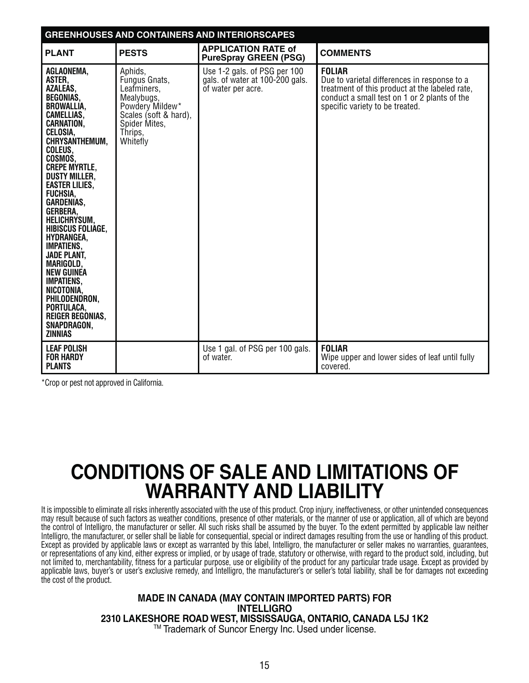| <b>GREENHOUSES AND CONTAINERS AND INTERIORSCAPES</b>                                                                                                                                                                                                                                                                                                                                                                                                                                                                                                                                    |                                                                                                                                           |                                                                                       |                                                                                                                                                                                                    |
|-----------------------------------------------------------------------------------------------------------------------------------------------------------------------------------------------------------------------------------------------------------------------------------------------------------------------------------------------------------------------------------------------------------------------------------------------------------------------------------------------------------------------------------------------------------------------------------------|-------------------------------------------------------------------------------------------------------------------------------------------|---------------------------------------------------------------------------------------|----------------------------------------------------------------------------------------------------------------------------------------------------------------------------------------------------|
| <b>PLANT</b>                                                                                                                                                                                                                                                                                                                                                                                                                                                                                                                                                                            | <b>PESTS</b>                                                                                                                              | <b>APPLICATION RATE of</b><br><b>PureSpray GREEN (PSG)</b>                            | <b>COMMENTS</b>                                                                                                                                                                                    |
| AGLAONEMA,<br>ASTER,<br><b>AZALEAS,</b><br><b>BEGONIAS,</b><br><b>BROWALLIA,</b><br>CAMELLIAS,<br><b>CARNATION.</b><br>CELOSIA,<br><b>CHRYSANTHEMUM.</b><br>COLEUS.<br>COSMOS.<br><b>CREPE MYRTLE,</b><br><b>DUSTY MILLER,</b><br><b>EASTER LILIES.</b><br><b>FUCHSIA.</b><br><b>GARDENIAS.</b><br>GERBERA,<br><b>HELICHRYSUM,</b><br><b>HIBISCUS FOLIAGE,</b><br>HYDRANGEA,<br><b>IMPATIENS,</b><br><b>JADE PLANT,</b><br>MARIGOLD,<br><b>NEW GUINEA</b><br><b>IMPATIENS,</b><br>NICOTONIA,<br>PHILODENDRON,<br>PORTULACA,<br><b>REIGER BEGONIAS,</b><br>SNAPDRAGON,<br><b>ZINNIAS</b> | Aphids,<br>Fungus Gnats,<br>Leafminers,<br>Mealybugs,<br>Powdery Mildew*<br>Scales (soft & hard),<br>Spider Mites,<br>Thrips.<br>Whitefly | Use 1-2 gals. of PSG per 100<br>gals. of water at 100-200 gals.<br>of water per acre. | <b>FOLIAR</b><br>Due to varietal differences in response to a<br>treatment of this product at the labeled rate,<br>conduct a small test on 1 or 2 plants of the<br>specific variety to be treated. |
| <b>LEAF POLISH</b><br><b>FOR HARDY</b><br><b>PLANTS</b>                                                                                                                                                                                                                                                                                                                                                                                                                                                                                                                                 |                                                                                                                                           | Use 1 gal. of PSG per 100 gals.<br>of water.                                          | <b>FOLIAR</b><br>Wipe upper and lower sides of leaf until fully<br>covered.                                                                                                                        |

# **CONDITIONS OF SALE AND LIMITATIONS OF WARRANTY AND LIABILITY**

It is impossible to eliminate all risks inherently associated with the use of this product. Crop injury, ineffectiveness, or other unintended consequences may result because of such factors as weather conditions, presence of other materials, or the manner of use or application, all of which are beyond the control of Intelligro, the manufacturer or seller. All such risks shall be assumed by the buyer. To the extent permitted by applicable law neither Intelligro, the manufacturer, or seller shall be liable for consequential, special or indirect damages resulting from the use or handling of this product. Except as provided by applicable laws or except as warranted by this label, Intelligro, the manufacturer or seller makes no warranties, guarantees, or representations of any kind, either express or implied, or by usage of trade, statutory or otherwise, with regard to the product sold, including, but not limited to, merchantability, fitness for a particular purpose, use or eligibility of the product for any particular trade usage. Except as provided by applicable laws, buyer's or user's exclusive remedy, and Intelligro, the manufacturer's or seller's total liability, shall be for damages not exceeding the cost of the product.

#### **MADE IN CANADA (MAY CONTAIN IMPORTED PARTS) FOR INTELLIGRO 2310 LAKESHORE ROAD WEST, MISSISSAUGA, ONTARIO, CANADA L5J 1K2** TM Trademark of Suncor Energy Inc. Used under license.